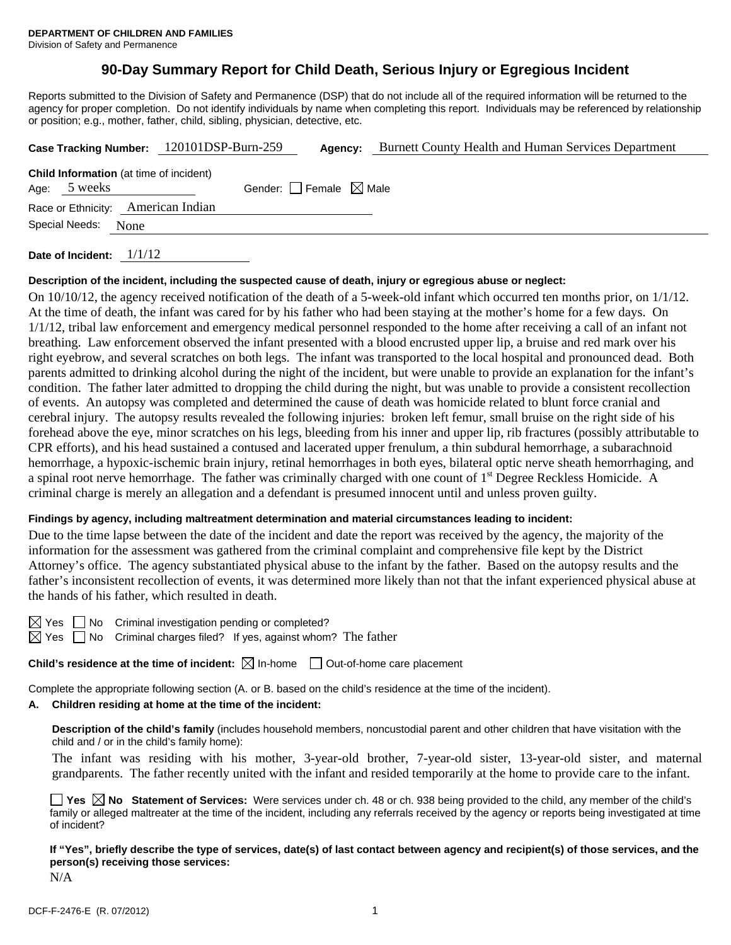# **90-Day Summary Report for Child Death, Serious Injury or Egregious Incident**

Reports submitted to the Division of Safety and Permanence (DSP) that do not include all of the required information will be returned to the agency for proper completion. Do not identify individuals by name when completing this report. Individuals may be referenced by relationship or position; e.g., mother, father, child, sibling, physician, detective, etc.

| Case Tracking Number: 120101DSP-Burn-259 |                                                           |      | Agency:                         | <b>Burnett County Health and Human Services Department</b> |  |  |  |
|------------------------------------------|-----------------------------------------------------------|------|---------------------------------|------------------------------------------------------------|--|--|--|
| Age:                                     | <b>Child Information</b> (at time of incident)<br>5 weeks |      | Gender: Female $\boxtimes$ Male |                                                            |  |  |  |
|                                          | Race or Ethnicity: American Indian                        |      |                                 |                                                            |  |  |  |
| Special Needs:                           |                                                           | None |                                 |                                                            |  |  |  |
|                                          |                                                           |      |                                 |                                                            |  |  |  |

**Date of Incident:** 1/1/12

#### **Description of the incident, including the suspected cause of death, injury or egregious abuse or neglect:**

On 10/10/12, the agency received notification of the death of a 5-week-old infant which occurred ten months prior, on 1/1/12. At the time of death, the infant was cared for by his father who had been staying at the mother's home for a few days. On 1/1/12, tribal law enforcement and emergency medical personnel responded to the home after receiving a call of an infant not breathing. Law enforcement observed the infant presented with a blood encrusted upper lip, a bruise and red mark over his right eyebrow, and several scratches on both legs. The infant was transported to the local hospital and pronounced dead. Both parents admitted to drinking alcohol during the night of the incident, but were unable to provide an explanation for the infant's condition. The father later admitted to dropping the child during the night, but was unable to provide a consistent recollection of events. An autopsy was completed and determined the cause of death was homicide related to blunt force cranial and cerebral injury. The autopsy results revealed the following injuries: broken left femur, small bruise on the right side of his forehead above the eye, minor scratches on his legs, bleeding from his inner and upper lip, rib fractures (possibly attributable to CPR efforts), and his head sustained a contused and lacerated upper frenulum, a thin subdural hemorrhage, a subarachnoid hemorrhage, a hypoxic-ischemic brain injury, retinal hemorrhages in both eyes, bilateral optic nerve sheath hemorrhaging, and a spinal root nerve hemorrhage. The father was criminally charged with one count of 1<sup>st</sup> Degree Reckless Homicide. A criminal charge is merely an allegation and a defendant is presumed innocent until and unless proven guilty.

### **Findings by agency, including maltreatment determination and material circumstances leading to incident:**

Due to the time lapse between the date of the incident and date the report was received by the agency, the majority of the information for the assessment was gathered from the criminal complaint and comprehensive file kept by the District Attorney's office. The agency substantiated physical abuse to the infant by the father. Based on the autopsy results and the father's inconsistent recollection of events, it was determined more likely than not that the infant experienced physical abuse at the hands of his father, which resulted in death.

 $\boxtimes$  Yes  $\Box$  No Criminal investigation pending or completed?

 $\boxtimes$  Yes  $\Box$  No Criminal charges filed? If yes, against whom? The father

**Child's residence at the time of incident:**  $\boxtimes$  In-home  $\Box$  Out-of-home care placement

Complete the appropriate following section (A. or B. based on the child's residence at the time of the incident).

## **A. Children residing at home at the time of the incident:**

**Description of the child's family** (includes household members, noncustodial parent and other children that have visitation with the child and / or in the child's family home):

 The infant was residing with his mother, 3-year-old brother, 7-year-old sister, 13-year-old sister, and maternal grandparents. The father recently united with the infant and resided temporarily at the home to provide care to the infant.

**Yes No Statement of Services:** Were services under ch. 48 or ch. 938 being provided to the child, any member of the child's family or alleged maltreater at the time of the incident, including any referrals received by the agency or reports being investigated at time of incident?

**If "Yes", briefly describe the type of services, date(s) of last contact between agency and recipient(s) of those services, and the person(s) receiving those services:** 

N/A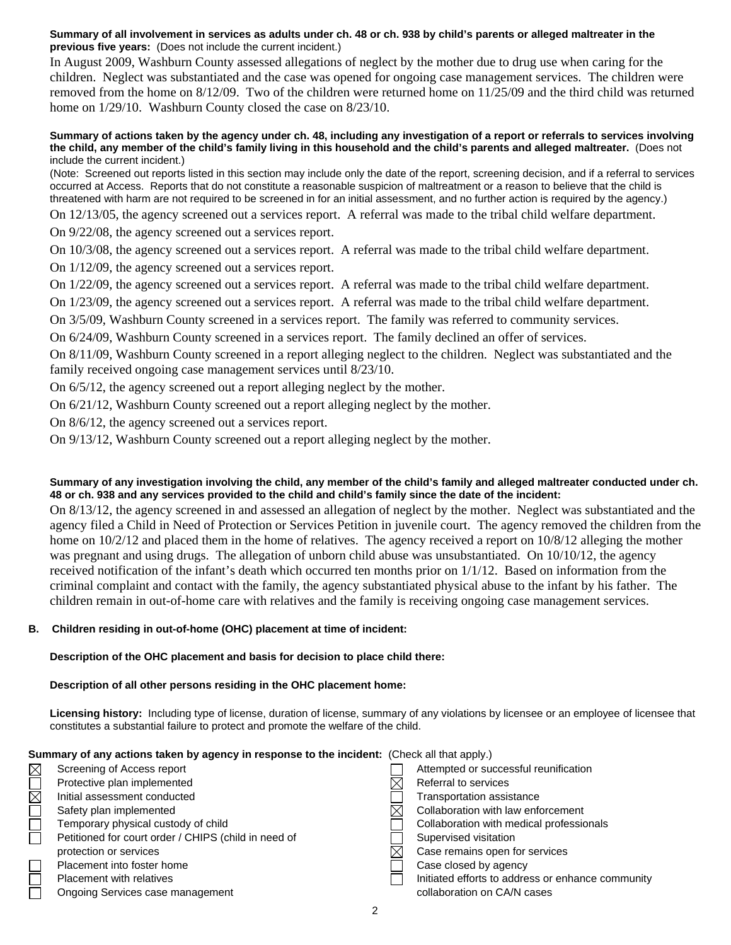#### **Summary of all involvement in services as adults under ch. 48 or ch. 938 by child's parents or alleged maltreater in the previous five years:** (Does not include the current incident.)

In August 2009, Washburn County assessed allegations of neglect by the mother due to drug use when caring for the children. Neglect was substantiated and the case was opened for ongoing case management services. The children were removed from the home on 8/12/09. Two of the children were returned home on 11/25/09 and the third child was returned home on  $1/29/10$ . Washburn County closed the case on  $8/23/10$ .

#### **Summary of actions taken by the agency under ch. 48, including any investigation of a report or referrals to services involving the child, any member of the child's family living in this household and the child's parents and alleged maltreater.** (Does not include the current incident.)

(Note: Screened out reports listed in this section may include only the date of the report, screening decision, and if a referral to services occurred at Access. Reports that do not constitute a reasonable suspicion of maltreatment or a reason to believe that the child is threatened with harm are not required to be screened in for an initial assessment, and no further action is required by the agency.)

On 12/13/05, the agency screened out a services report. A referral was made to the tribal child welfare department.

On 9/22/08, the agency screened out a services report.

On 10/3/08, the agency screened out a services report. A referral was made to the tribal child welfare department.

On 1/12/09, the agency screened out a services report.

On 1/22/09, the agency screened out a services report. A referral was made to the tribal child welfare department.

On 1/23/09, the agency screened out a services report. A referral was made to the tribal child welfare department.

On 3/5/09, Washburn County screened in a services report. The family was referred to community services.

On 6/24/09, Washburn County screened in a services report. The family declined an offer of services.

On 8/11/09, Washburn County screened in a report alleging neglect to the children. Neglect was substantiated and the family received ongoing case management services until 8/23/10.

On 6/5/12, the agency screened out a report alleging neglect by the mother.

On 6/21/12, Washburn County screened out a report alleging neglect by the mother.

On 8/6/12, the agency screened out a services report.

On 9/13/12, Washburn County screened out a report alleging neglect by the mother.

### **Summary of any investigation involving the child, any member of the child's family and alleged maltreater conducted under ch. 48 or ch. 938 and any services provided to the child and child's family since the date of the incident:**

On 8/13/12, the agency screened in and assessed an allegation of neglect by the mother. Neglect was substantiated and the agency filed a Child in Need of Protection or Services Petition in juvenile court. The agency removed the children from the home on  $10/2/12$  and placed them in the home of relatives. The agency received a report on  $10/8/12$  alleging the mother was pregnant and using drugs. The allegation of unborn child abuse was unsubstantiated. On 10/10/12, the agency received notification of the infant's death which occurred ten months prior on 1/1/12. Based on information from the criminal complaint and contact with the family, the agency substantiated physical abuse to the infant by his father. The children remain in out-of-home care with relatives and the family is receiving ongoing case management services.

### **B. Children residing in out-of-home (OHC) placement at time of incident:**

**Description of the OHC placement and basis for decision to place child there:**

### **Description of all other persons residing in the OHC placement home:**

**Licensing history:** Including type of license, duration of license, summary of any violations by licensee or an employee of licensee that constitutes a substantial failure to protect and promote the welfare of the child.

| Summary of any actions taken by agency in response to the incident: (Check all that apply.) |                                                      |  |                                                   |  |  |  |
|---------------------------------------------------------------------------------------------|------------------------------------------------------|--|---------------------------------------------------|--|--|--|
| $\boxtimes$                                                                                 | Screening of Access report                           |  | Attempted or successful reunification             |  |  |  |
| $\overline{\Xi}$                                                                            | Protective plan implemented                          |  | Referral to services                              |  |  |  |
|                                                                                             | Initial assessment conducted                         |  | <b>Transportation assistance</b>                  |  |  |  |
| $\Box$                                                                                      | Safety plan implemented                              |  | Collaboration with law enforcement                |  |  |  |
|                                                                                             | Temporary physical custody of child                  |  | Collaboration with medical professionals          |  |  |  |
| $\Box$                                                                                      | Petitioned for court order / CHIPS (child in need of |  | Supervised visitation                             |  |  |  |
|                                                                                             | protection or services                               |  | Case remains open for services                    |  |  |  |
| $\Box$                                                                                      | Placement into foster home                           |  | Case closed by agency                             |  |  |  |
| $\Box$                                                                                      | <b>Placement with relatives</b>                      |  | Initiated efforts to address or enhance community |  |  |  |
|                                                                                             | Ongoing Services case management                     |  | collaboration on CA/N cases                       |  |  |  |